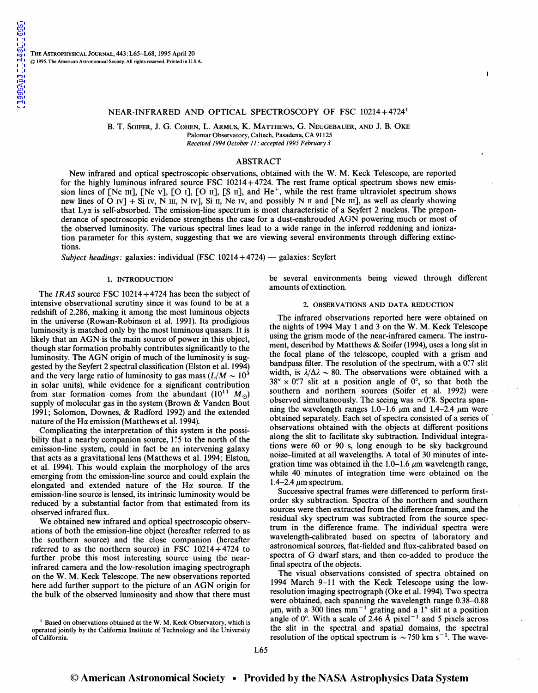## NEAR-INFRARED AND OPTICAL SPECTROSCOPY OF FSC 10214+47241

B. T. SOIFER, J. G. COHEN, L. ARMUS, K. MATTHEWS, G. NEUGEBAUER, AND J. B. OKE Palomar Observatory, Caltech, Pasadena, CA 91125 *Received 1994 October 11; accepted 1995 February 3* 

# ABSTRACT

New infrared and optical spectroscopic observations, obtained with the W. M. Keck Telescope, are reported for the highly luminous infrared source FSC  $10214+4724$ . The rest frame optical spectrum shows new emission lines of [Ne III], [Ne v], [O I], [O II], [S II], and  $He^+$ , while the rest frame ultraviolet spectrum shows new lines of O Iv] + Si Iv, N III, N Iv], Si II, Ne Iv, and possibly N II and [Ne III], as well as clearly showing that  $Ly\alpha$  is self-absorbed. The emission-line spectrum is most characteristic of a Seyfert 2 nucleus. The preponderance of spectroscopic evidence strengthens the case for a dust-enshrouded AGN powering much or most of the observed luminosity. The various spectral lines lead to a wide range in the inferred reddening and ionization parameter for this system, suggesting that we are viewing several environments through differing extinctions.

*Subject headings: galaxies: individual* (FSC 10214+4724) — galaxies: Seyfert

### 1. INTRODUCTION

The *IRAS* source FSC 10214+4724 has been the subject of intensive observational scrutiny since it was found to be at a redshift of 2.286, making it among the most luminous objects in the universe (Rowan-Robinson et al. 1991). Its prodigious luminosity is matched only by the most luminous quasars. It is likely that an AGN is the main source of power in this object, though star formation probably contributes significantly to the luminosity. The AGN origin of much of the luminosity is suggested by the Seyfert 2 spectral classification (Elston et al. 1994) and the very large ratio of luminosity to gas mass  $(L/M \sim 10^3)$ in solar units), while evidence for a significant contribution from star formation comes from the abundant  $(10^{11} M_{\odot})$ supply of molecular gas in the system (Brown & Vanden Bout 1991; Solomon, Downes, & Radford 1992) and the extended nature of the H $\alpha$  emission (Matthews et al. 1994).

Complicating the interpretation of this system is the possibility that a nearby companion source, 1".5 to the north of the emission-line system, could in fact be an intervening galaxy that acts as a gravitational lens (Matthews et al. 1994; Elston, et al. 1994). This would explain the morphology of the arcs emerging from the emission-line source and could explain the elongated and extended nature of the H $\alpha$  source. If the emission-line source is lensed, its intrinsic luminosity would be reduced by a substantial factor from that estimated from its observed infrared flux.

We obtained new infrared and optical spectroscopic observations of both the emission-line object (hereafter referred to as the southern source) and the close companion (hereafter referred to as the northern source) in FSC  $10214+4724$  to further probe this most interesting source using the nearinfrared camera and the low-resolution imaging spectrograph on the W. M. Keck Telescope. The new observations reported here add further support to the picture of an AGN origin for the bulk of the observed luminosity and show that there must be several environments being viewed through different amounts of extinction.

### 2. OBSERVATIONS AND DATA REDUCTION

The infrared observations reported here were obtained on the nights of 1994 May 1 and 3 on the W. M. Keck Telescope using the grism mode of the near-infrared camera. The instrument, described by Matthews & Soifer (1994), uses a long slit in the focal plane of the telescope, coupled with a grism and bandpass filter. The resolution of the spectrum, with a *0':7* slit width, is  $\lambda/\Delta\lambda \sim 80$ . The observations were obtained with a  $38'' \times 0\rlap{.}^{\prime\prime}7$  slit at a position angle of  $0^\circ$ , so that both the southern and northern sources (Soifer et al. 1992) were observed simultaneously. The seeing was  $\simeq$  0.78. Spectra spanning the wavelength ranges 1.0–1.6  $\mu$ m and 1.4–2.4  $\mu$ m were obtained separately. Each set of spectra consisted of a series of observations obtained with the objects at different positions along the slit to facilitate sky subtraction. Individual integrations were 60 or 90 s, long enough to be sky background noise-limited at all wavelengths. A total of 30 minutes of integration time was obtained in the  $1.0-1.6 \mu m$  wavelength range, while 40 minutes of integration time were obtained on the 1.4-2.4  $\mu$ m spectrum.

Successive spectral frames were differenced to perform firstorder sky subtraction. Spectra of the northern and southern sources were then extracted from the difference frames, and the residual sky spectrum was subtracted from the source spectrum in the difference frame. The individual spectra were wavelength-calibrated based on spectra of laboratory and astronomical sources, flat-fielded and flux-calibrated based on spectra of G dwarf stars, and then co-added to produce the final spectra of the objects.

The visual observations consisted of spectra obtained on 1994 March 9-11 with the Keck Telescope using the lowresolution imaging spectrograph (Oke et al. 1994). Two spectra were obtained, each spanning the wavelength range 0.38-0.88  $\mu$ m, with a 300 lines mm<sup>-1</sup> grating and a 1" slit at a position angle of  $0^\circ$ . With a scale of 2.46 Å pixel<sup>-1</sup> and 5 pixels across the slit in the spectral and spatial domains, the spectral resolution of the optical spectrum is  $\sim$  750 km s<sup>-1</sup>. The wave-

<sup>&</sup>lt;sup>1</sup> Based on observations obtained at the W. M. Keck Observatory, which is operated jointly by the California Institute of Technology and the University of California.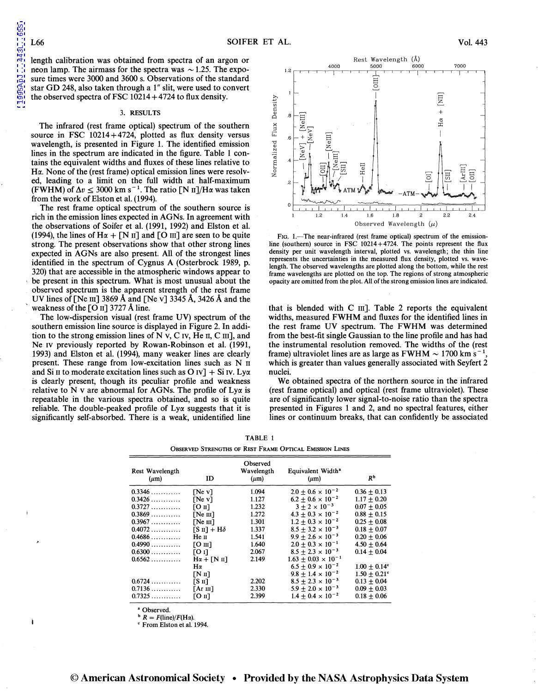[1995ApJ...443L..65S](http://adsabs.harvard.edu/abs/1995ApJ...443L..65S)

L995ApJ

 $\overline{\phantom{a}}$ 

.443L..65S

length calibration was obtained from spectra of an argon or neon lamp. The airmass for the spectra was  $\sim$  1.25. The exposure times were 3000 and 3600 s. Observations of the standard star GD 248, also taken through a 1" slit, were used to convert the observed spectra of FSC  $10214 + 4724$  to flux density.

#### 3. RESULTS

The infrared (rest frame optical) spectrum of the southern source in FSC  $10214+4724$ , plotted as flux density versus wavelength, is presented in Figure 1. The identified emission lines in the spectrum are indicated in the figure. Table 1 contains the equivalent widths and fluxes of these lines relative to H $\alpha$ . None of the (rest frame) optical emission lines were resolved, leading to a limit on the full width at half-maximum (FWHM) of  $\Delta v \leq 3000$  km s<sup>-1</sup>. The ratio [N II]/H $\alpha$  was taken from the work of Elston et al. (1994).

The rest frame optical spectrum of the southern source is rich in the emission lines expected in AGNs. In agreement with the observations of Soifer et al. (1991, 1992) and Elston et al. (1994), the lines of  $H\alpha + [N II]$  and  $[O III]$  are seen to be quite strong. The present observations show that other strong lines expected in AGNs are also present. All of the strongest lines identified in the spectrum of Cygnus A (Osterbrock 1989, p. 320) that are accessible in the atmospheric windows appear to be present in this spectrum. What is most unusual about the observed spectrum is the apparent strength of the rest frame UV lines of [Ne III] 3869 Å and [Ne v] 3345 Å, 3426 Å and the weakness of the [O II] 3727 Å line.

The low-dispersion visual (rest frame UV) spectrum of the southern emission line source is displayed in Figure 2. In addition to the strong emission lines of  $N$  v,  $C$  iv,  $He$  ii,  $C$  iii], and Ne IV previously reported by Rowan-Robinson et al. (1991, 1993) and Elston et al. (1994), many weaker lines are clearly present. These range from low-excitation lines such as N 11 and Si II to moderate excitation lines such as O IV] + Si IV. Ly $\alpha$ is clearly present, though its peculiar profile and weakness relative to N v are abnormal for AGNs. The profile of  $Ly\alpha$  is repeatable in the various spectra obtained, and so is quite reliable. The double-peaked profile of  $Ly\alpha$  suggests that it is significantly self-absorbed. There is a weak, unidentified line



FIG. 1.-The near-infrared (rest frame optical) spectrum of the emissionline (southern) source in FSC 10214+4724. The points represent the flux density per unit wavelength interval, plotted vs. wavelength; the thin line represents the uncertainties in the measured flux density, plotted vs. wavelength. The observed wavelengths are plotted along the bottom, while the rest frame wavelengths are plotted on the top. The regions of strong atmospheric opacity are omitted from the plot. All of the strong emission lines are indicated.

that is blended with  $C$  III]. Table 2 reports the equivalent widths, measured FWHM and fluxes for the identified lines in the rest frame UV spectrum. The FWHM was determined from the best-fit single Gaussian to the line profile and has had the instrumental resolution removed. The widths of the (rest frame) ultraviolet lines are as large as  $FWHM \sim 1700$  km s<sup>-1</sup>, which is greater than values generally associated with Seyfert 2 nuclei.

We obtained spectra of the northern source in the infrared (rest frame optical) and optical (rest frame ultraviolet). These are of significantly lower signal-to-noise ratio than the spectra presented in Figures 1 and 2, and no spectral features, either lines or continuum breaks, that can confidently be associated

| <b>OBSERVED STRENGTHS OF REST FRAME OPTICAL EMISSION LINES</b> |  |  |  |  |  |  |  |
|----------------------------------------------------------------|--|--|--|--|--|--|--|
|                                                                |  |  |  |  |  |  |  |

TABLE 1

| ID                                            | Observed<br>Wavelength<br>$(\mu m)$ | Equivalent Width <sup>a</sup><br>$(\mu m)$ | R <sup>b</sup>  |
|-----------------------------------------------|-------------------------------------|--------------------------------------------|-----------------|
| [NeV]                                         | 1.094                               | $2.0 + 0.6 \times 10^{-2}$                 | $0.36 \pm 0.13$ |
| [NeV]                                         | 1.127                               | $6.2 \pm 0.6 \times 10^{-2}$               | $1.17 + 0.20$   |
| [O II]                                        | 1.232                               | $3 + 2 \times 10^{-3}$                     | $0.07 + 0.05$   |
| [Ne <sub>III</sub> ]                          | 1.272                               | $4.3 \pm 0.3 \times 10^{-2}$               | $0.88 \pm 0.15$ |
| $\Gamma$ Ne $\text{III}$                      | 1.301                               | $1.2 + 0.3 \times 10^{-2}$                 | $0.25 \pm 0.08$ |
| $\lceil S \text{ II} \rceil + \text{H}\delta$ | 1.337                               | $8.5 + 3.2 \times 10^{-3}$                 | $0.18 + 0.07$   |
| Не п                                          | 1.541                               | $9.9 + 2.6 \times 10^{-3}$                 | $0.20 \pm 0.06$ |
| $[O \text{ m}]$                               | 1.640                               | $2.0 + 0.3 \times 10^{-1}$                 | $4.50 + 0.64$   |
| [0]                                           | 2.067                               | $8.5 + 2.3 \times 10^{-3}$                 | $0.14 + 0.04$   |
| $H\alpha + \lceil N \ln \rceil$               | 2.149                               | $1.63 + 0.03 \times 10^{-1}$               |                 |
| Hα                                            |                                     | $6.5 + 0.9 \times 10^{-2}$                 | $1.00 + 0.14$ ° |
| $\lceil N \rceil$                             |                                     | $9.8 + 1.4 \times 10^{-2}$                 | $1.50 + 0.21$ ° |
| $\lceil S \ln \rceil$                         | 2.202                               | $8.5 + 2.3 \times 10^{-3}$                 | $0.13 + 0.04$   |
| $[Ar \; \text{III}]$                          | 2.330                               | $5.9 + 2.0 \times 10^{-3}$                 | $0.09 + 0.03$   |
| $[0 \text{ m}]$                               | 2.399                               | $1.4 + 0.4 \times 10^{-2}$                 | $0.18 + 0.06$   |
|                                               |                                     |                                            |                 |

Observed.

 $\mathbf{b}$   $R = F(\text{line})/F(\text{H}\alpha)$ .

' From Elston et al. 1994.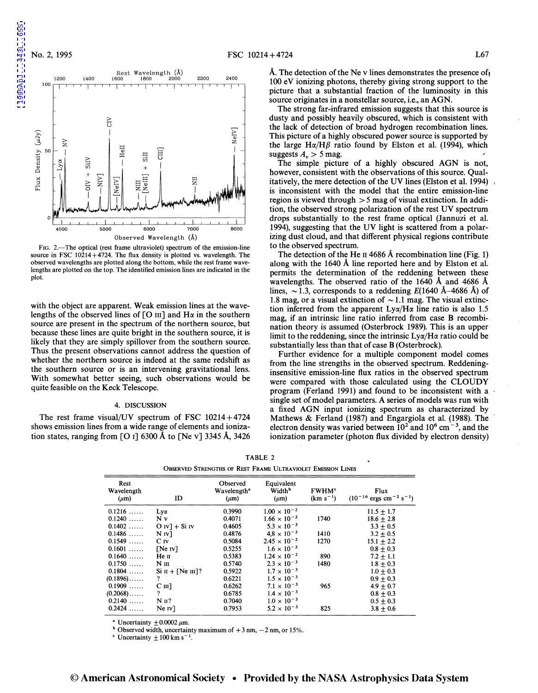

FIG. 2.—The optical (rest frame ultraviolet) spectrum of the emission-line source in FSC 10214+4724. The flux density is plotted vs. wavelength. The observed wavelengths are plotted along the bottom, while the rest frame wavelengths are plotted on the top. The identified emission lines are indicated in the plot.

with the object are apparent. Weak emission lines at the wavelengths of the observed lines of  $[O \text{ III}]$  and  $H\alpha$  in the southern source are present in the spectrum of the northern source, but because these lines are quite bright in the southern source, it is likely that they are simply spillover from the southern source. Thus the present observations cannot address the question of whether the northern source is indeed at the same redshift as the southern source or is an intervening gravitational lens. With somewhat better seeing, such observations would be quite feasible on the Keck Telescope.

### 4. DISCUSSION

The rest frame visual/UV spectrum of FSC  $10214+4724$ shows emission lines from a wide range of elements and ionization states, ranging from [O I] 6300 Å to [Ne v] 3345 Å, 3426 A. The detection of the Ne v lines demonstrates the presence of 100 eV ionizing photons, thereby giving strong support to the picture that a substantial fraction of the luminosity in this source originates in a nonstellar source, i.e., an AGN.

The strong far-infrared emission suggests that this source is dusty and possibly heavily obscured, which is consistent with the lack of detection of broad hydrogen recombination lines. This picture of a highly obscured power source is supported by the large H $\alpha$ /H $\beta$  ratio found by Elston et al. (1994), which suggests  $A_n > 5$  mag.

The simple picture of a highly obscured AGN is not, however, consistent with the observations of this source. Qualitatively, the mere detection of the UV lines (Elston et al. 1994) is inconsistent with the model that the entire emission-line region is viewed through  $> 5$  mag of visual extinction. In addition, the observed strong polarization of the rest UV spectrum drops substantially to the rest frame optical (Jannuzi et al. 1994), suggesting that the UV light is scattered from a polarizing dust cloud, and that different physical regions contribute to the observed spectrum.

The detection of the He II 4686 Å recombination line (Fig. 1) along with the 1640 A line reported here and by Elston et al. permits the determination of the reddening between these wavelengths. The observed ratio of the 1640 A and 4686 A lines,  $\sim$  1.3, corresponds to a reddening E(1640 Å–4686 Å) of 1.8 mag, or a visual extinction of  $\sim$  1.1 mag. The visual extinction inferred from the apparent  $Ly\alpha/H\alpha$  line ratio is also 1.5 mag, if an intrinsic line ratio inferred from case **B** recombination theory is assumed (Osterbrock 1989). This is an upper limit to the reddening, since the intrinsic  $Ly\alpha/H\alpha$  ratio could be substantially less than that of case **B** (Osterbrock).

Further evidence for a multiple component model comes from the line strengths in the observed spectrum. Reddeninginsensitive emission-line flux ratios in the observed spectrum were compared with those calculated using the CLOUDY program (Ferland 1991) and found to be inconsistent with a single set of model parameters. A series of models was run with a fixed AGN input ionizing spectrum as characterized by Mathews & Ferland (1987) and Engargiola et al. (1988). The electron density was varied between  $10^2$  and  $10^6$  cm<sup>-3</sup>, and the ionization parameter (photon flux divided by electron density)

| Observed Strengths of Rest Frame Ultraviolet Emission Lines |                                  |                                                  |                                               |                                          |                                                          |  |  |  |
|-------------------------------------------------------------|----------------------------------|--------------------------------------------------|-----------------------------------------------|------------------------------------------|----------------------------------------------------------|--|--|--|
| Rest<br>Wavelength<br>$(\mu m)$                             | ID                               | Observed<br>Wavelength <sup>ª</sup><br>$(\mu m)$ | Equivalent<br>Width <sup>b</sup><br>$(\mu m)$ | <b>FWHM<sup>c</sup></b><br>$(km s^{-1})$ | Flux<br>$(10^{-16} \text{ ergs cm}^{-2} \text{ s}^{-1})$ |  |  |  |
| $0.1216$                                                    | $Ly\alpha$                       | 0.3990                                           | $1.00 \times 10^{-2}$                         |                                          | $11.5 + 1.7$                                             |  |  |  |
| 0.1240                                                      | N v                              | 0.4071                                           | $1.66 \times 10^{-2}$                         | 1740                                     | $18.6 + 2.8$                                             |  |  |  |
| $0.1402$                                                    | $O IV$ ] + Si IV                 | 0.4605                                           | $5.3 \times 10^{-3}$                          |                                          | $3.3 + 0.5$                                              |  |  |  |
| 0.1486                                                      | $N_{IV}$                         | 0.4876                                           | $4.8 \times 10^{-3}$                          | 1410                                     | $3.2 + 0.5$                                              |  |  |  |
| 0.1549                                                      | $C_{I}V$                         | 0.5084                                           | $2.45 \times 10^{-2}$                         | 1270                                     | $15.1 + 2.2$                                             |  |  |  |
| $0.1601$                                                    | [Ne IV]                          | 0.5255                                           | $1.6 \times 10^{-3}$                          |                                          | $0.8 + 0.3$                                              |  |  |  |
| 0.1640                                                      | Не п                             | 0.5383                                           | $1.24 \times 10^{-2}$                         | 890                                      | $7.2 + 1.1$                                              |  |  |  |
| 0.1750                                                      | $N$ III                          | 0.5740                                           | $2.3 \times 10^{-3}$                          | 1480                                     | $1.8 + 0.3$                                              |  |  |  |
| $0.1804$                                                    | $\sin + [\text{Ne}\,\text{m}]$ ? | 0.5922                                           | $1.7 \times 10^{-3}$                          |                                          | $1.0 + 0.3$                                              |  |  |  |
| $(0.1896)$                                                  | ?                                | 0.6221                                           | $1.5 \times 10^{-3}$                          |                                          | $0.9 + 0.3$                                              |  |  |  |
| 0.1909                                                      | $C$ III]                         | 0.6262                                           | $7.1 \times 10^{-3}$                          | 965                                      | $4.9 + 0.7$                                              |  |  |  |
| $(0.2068)\ldots$                                            | ?                                | 0.6785                                           | $1.4 \times 10^{-3}$                          |                                          | $0.8 + 0.3$                                              |  |  |  |
| $0.2140$                                                    | $NII$ ?                          | 0.7040                                           | $1.0 \times 10^{-3}$                          |                                          | $0.5 \pm 0.3$                                            |  |  |  |
| 0.2424                                                      | Ne IV                            | 0.7953                                           | $5.2 \times 10^{-3}$                          | 825                                      | $3.8 + 0.6$                                              |  |  |  |

TABLE 2 OBSERVED STRENGTHS OF REST FRAME ULTRAVIOLET EMISSION LINES

<sup>a</sup> Uncertainty  $\pm 0.0002 \mu m$ .

<sup>b</sup> Observed width, uncertainty maximum of  $+ 3$  nm,  $- 2$  nm, or 15%.

 $\rm c$  Uncertainty  $\rm \pm 100$  km s<sup>-1</sup>.